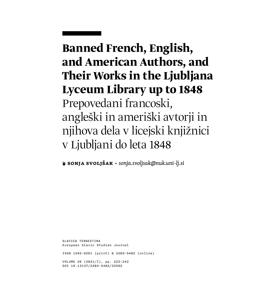# **Banned French, English, and American Authors, and Their Works in the Ljubljana Lyceum Library up to 1848** Prepovedani francoski, angleški in ameriški avtorji in njihova dela v licejski knjižnici v Ljubljani do leta 1848

**❦ Sonja Svoljšak** ▶ *[sonja.svoljsak@nuk.uni-lj.si](mailto:sonja.svoljsak%40nuk.uni-lj.si?subject=)*

SLAVICA TERGESTINA European Slavic Studies Journal ISSN 1592-0291 (print) & 2283-5482 (online) VOLUME 26 (2021/I), pp. 222–242 DOI 10.13137/2283-5482/32502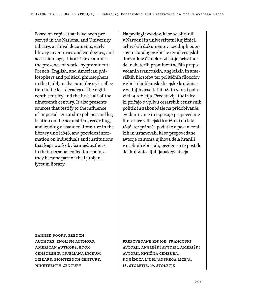Based on copies that have been preserved in the National and University Library, archival documents, early library inventories and catalogues, and accession logs, this article examines the presence of works by prominent French, English, and American philosophers and political philosophers in the Ljubljana lyceum library's collection in the last decades of the eighteenth century and the first half of the nineteenth century. It also presents sources that testify to the influence of imperial censorship policies and legislation on the acquisition, recording, and lending of banned literature in the library until 1848, and provides information on individuals and institutions that kept works by banned authors in their personal collections before they became part of the Ljubljana lyceum library.

Na podlagi izvodov, ki so se ohranili v Narodni in univerzitetni knjižnici, arhivskih dokumentov, zgodnjih popisov in katalogov zbirke ter akcesijskih dnevnikov članek raziskuje prisotnost del nekaterih prominentnejših prepovedanih francoskih, angleških in ameriških filozofov ter političnih filozofov v zbirki ljubljanske licejske knjižnice v zadnjih desetletjih 18. in v prvi polovici 19. stoletja. Predstavlja tudi vire, ki pričajo o vplivu cesarskih cenzurnih politik in zakonodaje na pridobivanje, evidentiranje in izposojo prepovedane literature v licejski knjižnici do leta 1848, ter prinaša podatke o posameznikih in ustanovah, ki so prepovedane avtorje oziroma njihova dela hranili v osebnih zbirkah, preden so te postale del knjižnice ljubljanskega liceja.

banned books, French authors, English authors, American authors, book censorship, Ljubljana lyceum library, eighteenth century, nineteenth century

prepovedane knjige, francoski avtorji, angleški avtorji, ameriški avtorji, knjižna cenzura, knjižnica ljubljanskega liceja, 18. stoletje, 19. stoletje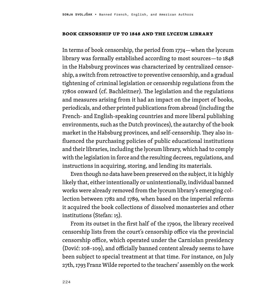#### **Book Censorship Up to 1848 and the Lyceum Library**

In terms of book censorship, the period from 1774—when the lyceum library was formally established according to most sources—to 1848 in the Habsburg provinces was characterized by centralized censorship, a switch from retroactive to preventive censorship, and a gradual tightening of criminal legislation or censorship regulations from the 1780s onward (cf. Bachleitner). The legislation and the regulations and measures arising from it had an impact on the import of books, periodicals, and other printed publications from abroad (including the French- and English-speaking countries and more liberal publishing environments, such as the Dutch provinces), the autarchy of the book market in the Habsburg provinces, and self-censorship. They also influenced the purchasing policies of public educational institutions and their libraries, including the lyceum library, which had to comply with the legislation in force and the resulting decrees, regulations, and instructions in acquiring, storing, and lending its materials.

Even though no data have been preserved on the subject, it is highly likely that, either intentionally or unintentionally, individual banned works were already removed from the lyceum library's emerging collection between 1782 and 1789, when based on the imperial reforms it acquired the book collections of dissolved monasteries and other institutions (Stefan: 15).

From its outset in the first half of the 1790s, the library received censorship lists from the court's censorship office via the provincial censorship office, which operated under the Carniolan presidency (Dović: 108–109), and officially banned content already seems to have been subject to special treatment at that time. For instance, on July 27th, 1793 Franz Wilde reported to the teachers' assembly on the work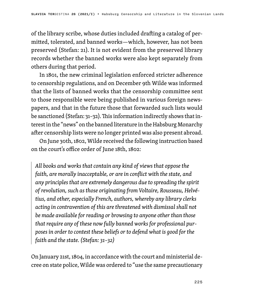of the library scribe, whose duties included drafting a catalog of permitted, tolerated, and banned works—which, however, has not been preserved (Stefan: 21). It is not evident from the preserved library records whether the banned works were also kept separately from others during that period.

In 1801, the new criminal legislation enforced stricter adherence to censorship regulations, and on December 9th Wilde was informed that the lists of banned works that the censorship committee sent to those responsible were being published in various foreign newspapers, and that in the future those that forwarded such lists would be sanctioned (Stefan: 31–32). This information indirectly shows that interest in the "news" on the banned literature in the Habsburg Monarchy after censorship lists were no longer printed was also present abroad.

On June 30th, 1802, Wilde received the following instruction based on the court's office order of June 18th, 1802:

*All books and works that contain any kind of views that oppose the faith, are morally inacceptable, or are in conflict with the state, and any principles that are extremely dangerous due to spreading the spirit of revolution, such as those originating from Voltaire, Rousseau, Helvétius, and other, especially French, authors, whereby any library clerks acting in contravention of this are threatened with dismissal shall not be made available for reading or browsing to anyone other than those that require any of these now fully banned works for professional purposes in order to contest these beliefs or to defend what is good for the faith and the state. (Stefan: 31–32)*

On January 21st, 1804, in accordance with the court and ministerial decree on state police, Wilde was ordered to "use the same precautionary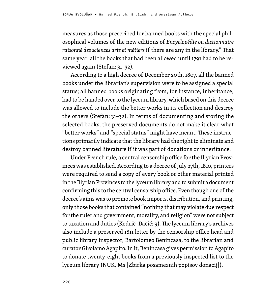measures as those prescribed for banned books with the special philosophical volumes of the new editions of *Encyclopédie ou dictionnaire raisonné des sciences arts et métiers* if there are any in the library." That same year, all the books that had been allowed until 1791 had to be reviewed again (Stefan: 31–32).

According to a high decree of December 20th, 1807, all the banned books under the librarian's supervision were to be assigned a special status; all banned books originating from, for instance, inheritance, had to be handed over to the lyceum library, which based on this decree was allowed to include the better works in its collection and destroy the others (Stefan: 31–32). In terms of documenting and storing the selected books, the preserved documents do not make it clear what "better works" and "special status" might have meant. These instructions primarily indicate that the library had the right to eliminate and destroy banned literature if it was part of donations or inheritance.

Under French rule, a central censorship office for the Illyrian Provinces was established. According to a decree of July 27th, 1810, printers were required to send a copy of every book or other material printed in the Illyrian Provinces to the lyceum library and to submit a document confirming this to the central censorship office. Even though one of the decree's aims was to promote book imports, distribution, and printing, only those books that contained "nothing that may violate due respect for the ruler and government, morality, and religion" were not subject to taxation and duties (Kodrič–Dačić: 9). The lyceum library's archives also include a preserved 1811 letter by the censorship office head and public library inspector, Bartolomeo Benincasa, to the librarian and curator Girolamo Agapito. In it, Benincasa gives permission to Agapito to donate twenty-eight books from a previously inspected list to the lyceum library (NUK, Ms [Zbirka posameznih popisov donacij]).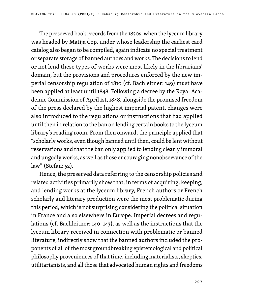The preserved book records from the 1830s, when the lyceum library was headed by Matija Čop, under whose leadership the earliest card catalog also began to be compiled, again indicate no special treatment or separate storage of banned authors and works. The decisions to lend or not lend these types of works were most likely in the librarians' domain, but the provisions and procedures enforced by the new imperial censorship regulation of 1810 (cf. Bachleitner: 149) must have been applied at least until 1848. Following a decree by the Royal Academic Commission of April 1st, 1848, alongside the promised freedom of the press declared by the highest imperial patent, changes were also introduced to the regulations or instructions that had applied until then in relation to the ban on lending certain books to the lyceum library's reading room. From then onward, the principle applied that "scholarly works, even though banned until then, could be lent without reservations and that the ban only applied to lending clearly immoral and ungodly works, as well as those encouraging nonobservance of the law" (Stefan: 52).

Hence, the preserved data referring to the censorship policies and related activities primarily show that, in terms of acquiring, keeping, and lending works at the lyceum library, French authors or French scholarly and literary production were the most problematic during this period, which is not surprising considering the political situation in France and also elsewhere in Europe. Imperial decrees and regulations (cf. Bachleitner: 140–143), as well as the instructions that the lyceum library received in connection with problematic or banned literature, indirectly show that the banned authors included the proponents of all of the most groundbreaking epistemological and political philosophy proveniences of that time, including materialists, skeptics, utilitarianists, and all those that advocated human rights and freedoms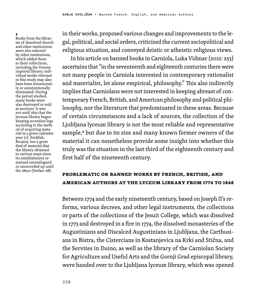1 Books from the libraries of dissolved church and other institutions were also selected by other institutions, which added them to their collections, including the Vienna imperial library; individual works relevant to this study may also have been intentionally or unintentionally eliminated. During the period studied, many books were also destroyed or sold at auctions. It was not until 1835 that the lyceum library began keeping accession logs according to the method of acquiring material in a given calendar year (cf. Svoljšak, Kocjan), but a great deal of material that the library obtained in various ways since its establishment remained uncatalogued or unrecorded up until the 1850s (Stefan: 68).

in their works, proposed various changes and improvements to the legal, political, and social orders, criticized the current sociopolitical and religious situation, and conveyed deistic or atheistic religious views.

In his article on banned books in Carniola, Luka Vidmar (2012: 253) ascertains that "in the seventeenth and eighteenth centuries there were not many people in Carniola interested in contemporary rationalist and materialist, let alone empirical, philosophy." This also indirectly implies that Carniolans were not interested in keeping abreast of contemporary French, British, and American philosophy and political philosophy, nor the literature that predominated in these areas. Because of certain circumstances and a lack of sources, the collection of the Ljubljana lyceum library is not the most reliable and representative sample,<sup>1</sup> but due to its size and many known former owners of the material it can nonetheless provide some insight into whether this truly was the situation in the last third of the eighteenth century and first half of the nineteenth century.

### **Problematic or Banned Works by French, British, and American Authors at the Lyceum Library from 1774 to 1848**

Between 1774 and the early nineteenth century, based on Joseph II's reforms, various decrees, and other legal instruments, the collections or parts of the collections of the Jesuit College, which was dissolved in 1773 and destroyed in a fire in 1774, the dissolved monasteries of the Augustinians and Discalced Augustinians in Ljubljana, the Carthusians in Bistra, the Cistercians in Kostanjevica na Krki and Stična, and the Servites in Duino, as well as the library of the Carniolan Society for Agriculture and Useful Arts and the Gornji Grad episcopal library, were handed over to the Ljubljana lyceum library, which was opened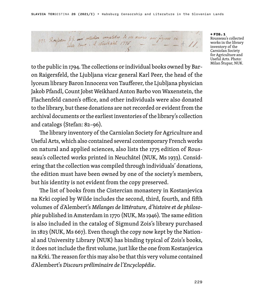477. Roupeau J.J. así voluchion complettes de ses ocuores avec figures ca

### ← FIG.1

Rousseau's collected works in the library inventory of the Carniolan Society for Agriculture and Useful Arts. Photo: Milan Štupar, NUK.

to the public in 1794. The collections or individual books owned by Baron Raigersfeld, the Ljubljana vicar general Karl Peer, the head of the lyceum library Baron Innocenz von Taufferer, the Ljubljana physician Jakob Pfandl, Count Jobst Weikhard Anton Barbo von Waxenstein, the Flachenfeld canon's office, and other individuals were also donated to the library, but these donations are not recorded or evident from the archival documents or the earliest inventories of the library's collection and catalogs (Stefan: 82–96).

The library inventory of the Carniolan Society for Agriculture and Useful Arts, which also contained several contemporary French works on natural and applied sciences, also lists the 1775 edition of Rousseau's collected works printed in Neuchâtel (NUK, Ms 1933). Considering that the collection was compiled through individuals' donations, the edition must have been owned by one of the society's members, but his identity is not evident from the copy preserved.

The list of books from the Cistercian monastery in Kostanjevica na Krki copied by Wilde includes the second, third, fourth, and fifth volumes of d'Alembert's *Mélanges de littérature, d'histoire et de philosophie* published in Amsterdam in 1770 (NUK, Ms 1946). The same edition is also included in the catalog of Sigmund Zois's library purchased in 1823 (NUK, Ms 667). Even though the copy now kept by the National and University Library (NUK) has binding typical of Zois's books, it does not include the first volume, just like the one from Kostanjevica na Krki. The reason for this may also be that this very volume contained d'Alembert's *Discours préliminaire de l'Encyclopédie*.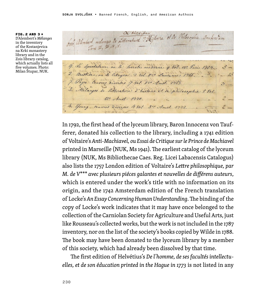FIG.2 AND 3 → D'Alembert's *Mélanges* in the inventory of the Kostanjevica na Krki monastery library and in the Zois library catalog, which actually lists all five volumes. Photo: Milan Štupar, NUK.

606, alembert melanges de Litterature d'électric et de Vhilosophie. Amskretam 9. Le Spectateur, au le Socrate moderne q Vol, 12º Paris 1754. 5 -2. Austide, on & atayen, 2 Vol. 850 Lausanne 1966. ... 7. Pape Cenores diverses of Not. 880 Amst. 1763. 3. Melanges de litterature d'histoire et de philosophie 5 Vol.  $12$  Amet: 1440. 4. Young, caused Diverses 4 Val. 3rd Amat. 1992.

In 1792, the first head of the lyceum library, Baron Innocenz von Taufferer, donated his collection to the library, including a 1741 edition of Voltaire's *Anti-Machiavel, ou Essai de Critique sur le Prince de Machiavel* printed in Marseille (NUK, Ms 1941). The earliest catalog of the lyceum library (NUK, Ms Bibliothecae Caes. Reg. Licei Labacensis Catalogus) also lists the 1757 London edition of Voltaire's *Lettre philosophique, par M. de V\*\*\* avec plusieurs piéces galantes et nouvelles de différens auteurs*, which is entered under the work's title with no information on its origin, and the 1742 Amsterdam edition of the French translation of Locke's *An Essay Concerning Human Understanding*. The binding of the copy of Locke's work indicates that it may have once belonged to the collection of the Carniolan Society for Agriculture and Useful Arts, just like Rousseau's collected works, but the work is not included in the 1787 inventory, nor on the list of the society's books copied by Wilde in 1788. The book may have been donated to the lyceum library by a member of this society, which had already been dissolved by that time.

The first edition of Helvétius's *De l'homme, de ses facultés intellectuelles, et de son éducation printed in the Hague in 1773* is not listed in any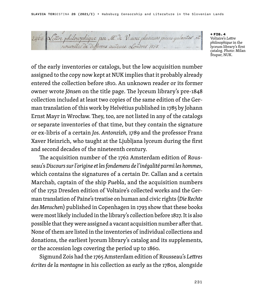2464 Lettre philosophique par M. Je V. avec plusieurs pieces galantes, et nouvelles de differens auteurs. Londres 1797.

← FIG.4 Voltaire's *Lettre philosophique* in the lyceum library's first catalog. Photo: Milan Štupar, NUK.

of the early inventories or catalogs, but the low acquisition number assigned to the copy now kept at NUK implies that it probably already entered the collection before 1810. An unknown reader or its former owner wrote *Jönsen* on the title page. The lyceum library's pre-1848 collection included at least two copies of the same edition of the German translation of this work by Helvétius published in 1785 by Johann Ernst Mayr in Wrocław. They, too, are not listed in any of the catalogs or separate inventories of that time, but they contain the signature or ex-libris of a certain *Jos. Antonzizh, 1789* and the professor Franz Xaver Heinrich, who taught at the Ljubljana lyceum during the first and second decades of the nineteenth century.

The acquisition number of the 1762 Amsterdam edition of Rousseau's *Discours sur l'origine et les fondemens de l'inégalité parmi les hommes*, which contains the signatures of a certain Dr. Callan and a certain Marchab, captain of the ship *Puebla*, and the acquisition numbers of the 1752 Dresden edition of Voltaire's collected works and the German translation of Paine's treatise on human and civic rights (*Die Rechte des Menschen*) published in Copenhagen in 1793 show that these books were most likely included in the library's collection before 1827. It is also possible that they were assigned a vacant acquisition number after that. None of them are listed in the inventories of individual collections and donations, the earliest lyceum library's catalog and its supplements, or the accession logs covering the period up to 1860.

Sigmund Zois had the 1765 Amsterdam edition of Rousseau's *Lettres écrites de la montagne* in his collection as early as the 1780s, alongside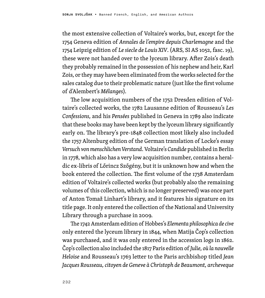the most extensive collection of Voltaire's works, but, except for the 1754 Geneva edition of *Annales de l'empire depuis Charlemagne* and the 1754 Leipzig edition of *Le siecle de Louis XIV*. (ARS, SI AS 1052, fasc. 19), these were not handed over to the lyceum library. After Zois's death they probably remained in the possession of his nephew and heir, Karl Zois, or they may have been eliminated from the works selected for the sales catalog due to their problematic nature (just like the first volume of d'Alembert's *Mélanges*).

The low acquisition numbers of the 1752 Dresden edition of Voltaire's collected works, the 1782 Lausanne edition of Rousseau's *Les Confessions,* and his *Pensées* published in Geneva in 1789 also indicate that these books may have been kept by the lyceum library significantly early on. The library's pre-1848 collection most likely also included the 1757 Altenburg edition of the German translation of Locke's essay *Versuch von menschlichen Verstand*. Voltaire's *Candide* published in Berlin in 1778, which also has a very low acquisition number, contains a heraldic ex-libris of Lőrincz Szőgény, but it is unknown how and when the book entered the collection. The first volume of the 1738 Amsterdam edition of Voltaire's collected works (but probably also the remaining volumes of this collection, which is no longer preserved) was once part of Anton Tomaž Linhart's library, and it features his signature on its title page. It only entered the collection of the National and University Library through a purchase in 2009.

The 1742 Amsterdam edition of Hobbes's *Elementa philosophica de cive* only entered the lyceum library in 1844, when Matija Čop's collection was purchased, and it was only entered in the accession logs in 1862. Čop's collection also included the 1817 Paris edition of *Julie, où la nouvelle Heloise* and Rousseau's 1763 letter to the Paris archbishop titled *Jean Jacques Rousseau, citoyen de Geneve à Christoph de Beaumont, archeveque*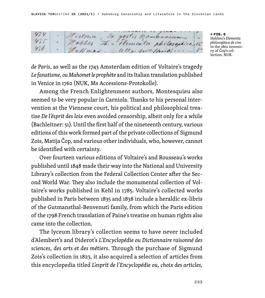Historia, Ex gestis Romanoium Haffman ally, probably, i.

← FIG.5 Hobbes's *Elementa philosophica de cive* in the 1862 inventory of Čop's collection. NUK.

*de Paris*, as well as the 1743 Amsterdam edition of Voltaire's tragedy *Le fanatisme, ou Mahomet le prophète* and its Italian translation published in Venice in 1762 (NUK, Ms Accessions-Protokolle).

Among the French Enlightenment authors, Montesquieu also seemed to be very popular in Carniola. Thanks to his personal intervention at the Viennese court, his political and philosophical treatise *De l'ésprit des loix* even avoided censorship, albeit only for a while (Bachleitner: 51). Until the first half of the nineteenth century, various editions of this work formed part of the private collections of Sigmund Zois, Matija Čop, and various other individuals, who, however, cannot be identified with certainty.

Over fourteen various editions of Voltaire's and Rousseau's works published until 1848 made their way into the National and University Library's collection from the Federal Collection Center after the Second World War. They also include the monumental collection of Voltaire's works published in Kehl in 1785. Voltaire's collected works published in Paris between 1835 and 1838 include a heraldic ex-libris of the Gutmansthal-Benvenuti family, from which the Paris edition of the 1798 French translation of Paine's treatise on human rights also came into the collection.

The lyceum library's collection seems to have never included d'Alembert's and Diderot's *L'Encyclopédie ou Dictionnaire raisonné des sciences, des arts et des métiers*. Through the purchase of Sigmund Zois's collection in 1823, it also acquired a selection of articles from this encyclopedia titled *L'esprit de l'Encyclopédie ou, choix des articles,*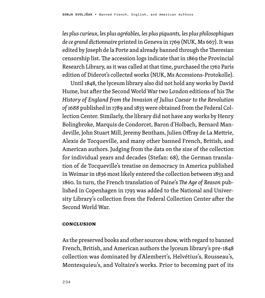*les plus curieux, les plus agréables, les plus piquants, les plus philosophiques de ce grand dictionnaire* printed in Geneva in 1769 (NUK, Ms 667). It was edited by Joseph de la Porte and already banned through the Theresian censorship list. The accession logs indicate that in 1869 the Provincial Research Library, as it was called at that time, purchased the 1762 Paris edition of Diderot's collected works (NUK, Ms Accessions-Protokolle).

Until 1848, the lyceum library also did not hold any works by David Hume, but after the Second World War two London editions of his *The History of England from the Invasion of Julius Caesar to the Revolution of 1688* published in 1789 and 1833 were obtained from the Federal Collection Center. Similarly, the library did not have any works by Henry Bolingbroke, Marquis de Condorcet, Baron d'Holbach, Bernard Mandeville, John Stuart Mill, Jeremy Bentham, Julien Offray de La Mettrie, Alexis de Tocqueville, and many other banned French, British, and American authors. Judging from the data on the size of the collection for individual years and decades (Stefan: 68), the German translation of de Tocqueville's treatise on democracy in America published in Weimar in 1836 most likely entered the collection between 1853 and 1860. In turn, the French translation of Paine's *The Age of Reason* published in Copenhagen in 1793 was added to the National and University Library's collection from the Federal Collection Center after the Second World War.

#### **Conclusion**

As the preserved books and other sources show, with regard to banned French, British, and American authors the lyceum library's pre-1848 collection was dominated by d'Alembert's, Helvétius's, Rousseau's, Montesquieu's, and Voltaire's works. Prior to becoming part of its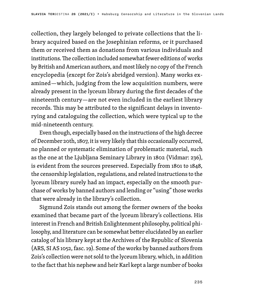collection, they largely belonged to private collections that the library acquired based on the Josephinian reforms, or it purchased them or received them as donations from various individuals and institutions. The collection included somewhat fewer editions of works by British and American authors, and most likely no copy of the French encyclopedia (except for Zois's abridged version). Many works examined—which, judging from the low acquisition numbers, were already present in the lyceum library during the first decades of the nineteenth century—are not even included in the earliest library records. This may be attributed to the significant delays in inventorying and cataloguing the collection, which were typical up to the mid-nineteenth century.

Even though, especially based on the instructions of the high decree of December 20th, 1807, it is very likely that this occasionally occurred, no planned or systematic elimination of problematic material, such as the one at the Ljubljana Seminary Library in 1802 (Vidmar: 236), is evident from the sources preserved. Especially from 1801 to 1848, the censorship legislation, regulations, and related instructions to the lyceum library surely had an impact, especially on the smooth purchase of works by banned authors and lending or "using" those works that were already in the library's collection.

Sigmund Zois stands out among the former owners of the books examined that became part of the lyceum library's collections. His interest in French and British Enlightenment philosophy, political philosophy, and literature can be somewhat better elucidated by an earlier catalog of his library kept at the Archives of the Republic of Slovenia (ARS, SI AS 1052, fasc. 19). Some of the works by banned authors from Zois's collection were not sold to the lyceum library, which, in addition to the fact that his nephew and heir Karl kept a large number of books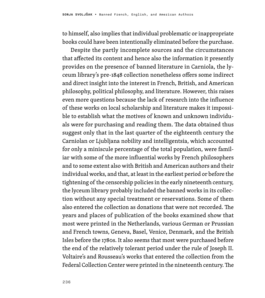to himself, also implies that individual problematic or inappropriate books could have been intentionally eliminated before the purchase.

Despite the partly incomplete sources and the circumstances that affected its content and hence also the information it presently provides on the presence of banned literature in Carniola, the lyceum library's pre-1848 collection nonetheless offers some indirect and direct insight into the interest in French, British, and American philosophy, political philosophy, and literature. However, this raises even more questions because the lack of research into the influence of these works on local scholarship and literature makes it impossible to establish what the motives of known and unknown individuals were for purchasing and reading them. The data obtained thus suggest only that in the last quarter of the eighteenth century the Carniolan or Ljubljana nobility and intelligentsia, which accounted for only a miniscule percentage of the total population, were familiar with some of the more influential works by French philosophers and to some extent also with British and American authors and their individual works, and that, at least in the earliest period or before the tightening of the censorship policies in the early nineteenth century, the lyceum library probably included the banned works in its collection without any special treatment or reservations. Some of them also entered the collection as donations that were not recorded. The years and places of publication of the books examined show that most were printed in the Netherlands, various German or Prussian and French towns, Geneva, Basel, Venice, Denmark, and the British Isles before the 1780s. It also seems that most were purchased before the end of the relatively tolerant period under the rule of Joseph II. Voltaire's and Rousseau's works that entered the collection from the Federal Collection Center were printed in the nineteenth century. The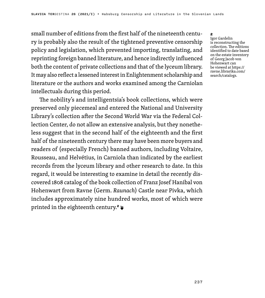small number of editions from the first half of the nineteenth century is probably also the result of the tightened preventive censorship policy and legislation, which prevented importing, translating, and reprinting foreign banned literature, and hence indirectly influenced both the content of private collections and that of the lyceum library. It may also reflect a lessened interest in Enlightenment scholarship and literature or the authors and works examined among the Carniolan intellectuals during this period.

The nobility's and intelligentsia's book collections, which were preserved only piecemeal and entered the National and University Library's collection after the Second World War via the Federal Collection Center, do not allow an extensive analysis, but they nonetheless suggest that in the second half of the eighteenth and the first half of the nineteenth century there may have been more buyers and readers of (especially French) banned authors, including Voltaire, Rousseau, and Helvétius, in Carniola than indicated by the earliest records from the lyceum library and other research to date. In this regard, it would be interesting to examine in detail the recently discovered 1808 catalog of the book collection of Franz Josef Hanibal von Hohenwart from Ravne (Germ. *Raunach*) Castle near Pivka, which includes approximately nine hundred works, most of which were printed in the eighteenth century.<sup>2</sup>

 $\sim$ 

Igor Gardelin is reconstructing the collection. The editions identified to date based on the estate inventory of Georg Jacob von Hohenwart can be viewed at https:// ravne.librarika.com/ search/catalogs.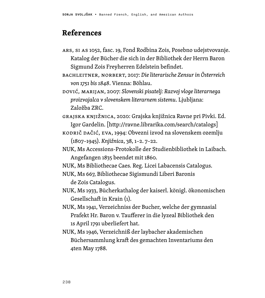## **References**

- ARS, SI AS 1052, fasc. 19, Fond Rodbina Zois, Posebno udejstvovanje. Katalog der Bücher die sich in der Bibliothek der Herrn Baron Sigmund Zois Freyherren Edelstein befindet.
- BACHLEITNER, NORBERT, 2017: *Die literarische Zensur in Österreich von 1751 bis 1848*. Vienna: Böhlau.

DOVIĆ, MARIJAN, 2007: *Slovenski pisatelj: Razvoj vloge literarnega proizvajalca v slovenskem literarnem sistemu*. Ljubljana: Založba ZRC.

GRAJSKA KNJIŽNICA, 2020: Grajska knjižnica Ravne pri Pivki. Ed. Igor Gardelin. [http://ravne.librarika.com/search/catalogs]

KODRIČ DAČIĆ, EVA, 1994: Obvezni izvod na slovenskem ozemlju (1807–1945). *Knjižnica*, 38, 1–2. 7–22.

NUK, Ms Accessions-Protokolle der Studienbibliothek in Laibach. Angefangen 1835 beendet mit 1860.

NUK, Ms Bibliothecae Caes. Reg. Licei Labacensis Catalogus.

- NUK, Ms 667, Bibliothecae Sigismundi Liberi Baronis de Zois Catalogus.
- NUK, Ms 1933, Bücherkathalog der kaiserl. königl. ökonomischen Gesellschaft in Krain (1).
- NUK, Ms 1941, Verzeichniss der Bucher, welche der gymnasial Prafekt Hr. Baron v. Taufferer in die lyzeal Bibliothek den 1s April 1791 uberliefert hat.
- NUK, Ms 1946, Verzeichniß der laybacher akademischen Büchersammlung kraft des gemachten Inventariums den 4ten May 1788.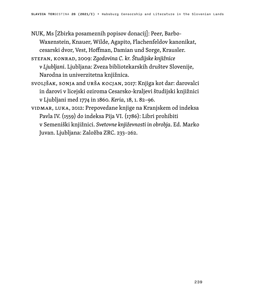- NUK, Ms [Zbirka posameznih popisov donacij]: Peer, Barbo-Waxenstein, Knauer, Wilde, Agapito, Flachenfeldov kanonikat, cesarski dvor, Vest, Hoffman, Damian und Sorge, Krausler.
- STEFAN, KONRAD, 2009: *Zgodovina C. kr. Študijske knjižnice v Ljubljani*. Ljubljana: Zveza bibliotekarskih društev Slovenije, Narodna in univerzitetna knjižnica.
- SVOLJŠAK, SONJA and URŠA KOCJAN, 2017: Knjiga kot dar: darovalci in darovi v licejski oziroma Cesarsko-kraljevi študijski knjižnici v Ljubljani med 1774 in 1860. *Keria*, 18, 1. 82–96.
- VIDMAR, LUKA, 2012: Prepovedane knjige na Kranjskem od indeksa Pavla IV. (1559) do indeksa Pija VI. (1786): Libri prohibiti v Semeniški knjižnici. *Svetovne književnosti in obrobja*. Ed. Marko Juvan. Ljubljana: Založba ZRC. 233–262.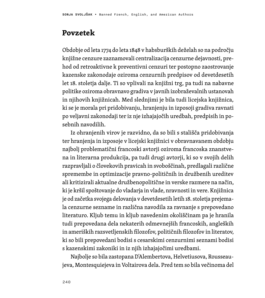### **Povzetek**

Obdobje od leta 1774 do leta 1848 v habsburških deželah so na področju knjižne cenzure zaznamovali centralizacija cenzurne dejavnosti, prehod od retroaktivne k preventivni cenzuri ter postopno zaostrovanje kazenske zakonodaje oziroma cenzurnih predpisov od devetdesetih let 18. stoletja dalje. Ti so vplivali na knjižni trg, pa tudi na nabavne politike oziroma obravnavo gradiva v javnih izobraževalnih ustanovah in njihovih knjižnicah. Med slednjimi je bila tudi licejska knjižnica, ki se je morala pri pridobivanju, hranjenju in izposoji gradiva ravnati po veljavni zakonodaji ter iz nje izhajajočih uredbah, predpisih in posebnih navodilih.

Iz ohranjenih virov je razvidno, da so bili s stališča pridobivanja ter hranjenja in izposoje v licejski knjižnici v obravnavanem obdobju najbolj problematični francoski avtorji oziroma francoska znanstvena in literarna produkcija, pa tudi drugi avtorji, ki so v svojih delih razpravljali o človekovih pravicah in svoboščinah, predlagali različne spremembe in optimizacije pravno-političnih in družbenih ureditev ali kritizirali aktualne družbenopolitične in verske razmere na način, ki je kršil spoštovanje do vladarja in vlade, nravnosti in vere. Knjižnica je od začetka svojega delovanja v devetdesetih letih 18. stoletja prejemala cenzurne sezname in različna navodila za ravnanje s prepovedano literaturo. Kljub temu in kljub navedenim okoliščinam pa je hranila tudi prepovedana dela nekaterih odmevnejših francoskih, angleških in ameriških razsvetljenskih filozofov, političnih filozofov in literatov, ki so bili prepovedani bodisi s cesarskimi cenzurnimi seznami bodisi s kazenskimi zakoniki in iz njih izhajajočimi uredbami.

Najbolje so bila zastopana D'Alembertova, Helvetiusova, Rousseaujeva, Montesquiejeva in Voltairova dela. Pred tem so bila večinoma del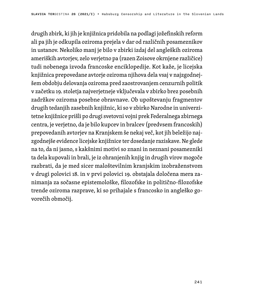drugih zbirk, ki jih je knjižnica pridobila na podlagi jožefinskih reform ali pa jih je odkupila oziroma prejela v dar od različnih posameznikov in ustanov. Nekoliko manj je bilo v zbirki izdaj del angleških oziroma ameriških avtorjev, zelo verjetno pa (razen Zoisove okrnjene različice) tudi nobenega izvoda francoske enciklopedije. Kot kaže, je licejska knjižnica prepovedane avtorje oziroma njihova dela vsaj v najzgodnejšem obdobju delovanja oziroma pred zaostrovanjem cenzurnih politik v začetku 19. stoletja najverjetneje vključevala v zbirko brez posebnih zadržkov oziroma posebne obravnave. Ob upoštevanju fragmentov drugih tedanjih zasebnih knjižnic, ki so v zbirko Narodne in univerzitetne knjižnice prišli po drugi svetovni vojni prek Federalnega zbirnega centra, je verjetno, da je bilo kupcev in bralcev (predvsem francoskih) prepovedanih avtorjev na Kranjskem še nekaj več, kot jih beležijo najzgodnejše evidence licejske knjižnice ter dosedanje raziskave. Ne glede na to, da ni jasno, s kakšnimi motivi so znani in neznani posamezniki ta dela kupovali in brali, je iz ohranjenih knjig in drugih virov mogoče razbrati, da je med sicer maloštevilnim kranjskim izobraženstvom v drugi polovici 18. in v prvi polovici 19. obstajala določena mera zanimanja za sočasne epistemološke, filozofske in politično-filozofske trende oziroma razprave, ki so prihajale s francosko in angleško govorečih območij.